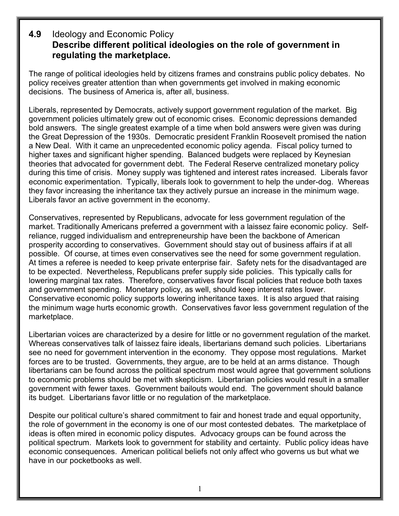## **4.9** Ideology and Economic Policy **Describe different political ideologies on the role of government in regulating the marketplace.**

The range of political ideologies held by citizens frames and constrains public policy debates. No policy receives greater attention than when governments get involved in making economic decisions. The business of America is, after all, business.

Liberals, represented by Democrats, actively support government regulation of the market. Big government policies ultimately grew out of economic crises. Economic depressions demanded bold answers. The single greatest example of a time when bold answers were given was during the Great Depression of the 1930s. Democratic president Franklin Roosevelt promised the nation a New Deal. With it came an unprecedented economic policy agenda. Fiscal policy turned to higher taxes and significant higher spending. Balanced budgets were replaced by Keynesian theories that advocated for government debt. The Federal Reserve centralized monetary policy during this time of crisis. Money supply was tightened and interest rates increased. Liberals favor economic experimentation. Typically, liberals look to government to help the under-dog. Whereas they favor increasing the inheritance tax they actively pursue an increase in the minimum wage. Liberals favor an active government in the economy.

Conservatives, represented by Republicans, advocate for less government regulation of the market. Traditionally Americans preferred a government with a laissez faire economic policy. Selfreliance, rugged individualism and entrepreneurship have been the backbone of American prosperity according to conservatives. Government should stay out of business affairs if at all possible. Of course, at times even conservatives see the need for some government regulation. At times a referee is needed to keep private enterprise fair. Safety nets for the disadvantaged are to be expected. Nevertheless, Republicans prefer supply side policies. This typically calls for lowering marginal tax rates. Therefore, conservatives favor fiscal policies that reduce both taxes and government spending. Monetary policy, as well, should keep interest rates lower. Conservative economic policy supports lowering inheritance taxes. It is also argued that raising the minimum wage hurts economic growth. Conservatives favor less government regulation of the marketplace.

Libertarian voices are characterized by a desire for little or no government regulation of the market. Whereas conservatives talk of laissez faire ideals, libertarians demand such policies. Libertarians see no need for government intervention in the economy. They oppose most regulations. Market forces are to be trusted. Governments, they argue, are to be held at an arms distance. Though libertarians can be found across the political spectrum most would agree that government solutions to economic problems should be met with skepticism. Libertarian policies would result in a smaller government with fewer taxes. Government bailouts would end. The government should balance its budget. Libertarians favor little or no regulation of the marketplace.

Despite our political culture's shared commitment to fair and honest trade and equal opportunity, the role of government in the economy is one of our most contested debates. The marketplace of ideas is often mired in economic policy disputes. Advocacy groups can be found across the political spectrum. Markets look to government for stability and certainty. Public policy ideas have economic consequences. American political beliefs not only affect who governs us but what we have in our pocketbooks as well.